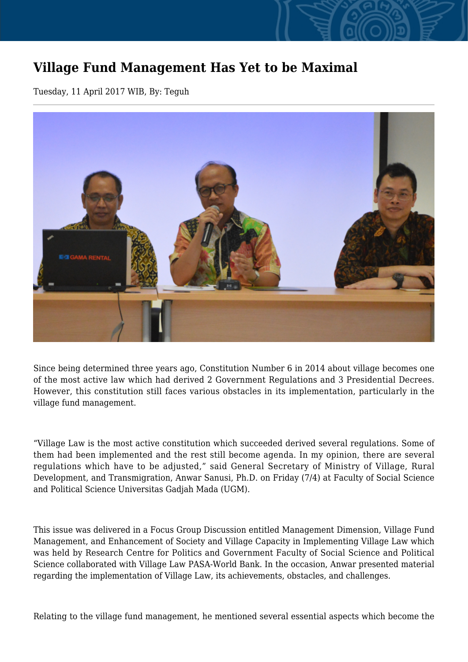## **Village Fund Management Has Yet to be Maximal**

Tuesday, 11 April 2017 WIB, By: Teguh



Since being determined three years ago, Constitution Number 6 in 2014 about village becomes one of the most active law which had derived 2 Government Regulations and 3 Presidential Decrees. However, this constitution still faces various obstacles in its implementation, particularly in the village fund management.

"Village Law is the most active constitution which succeeded derived several regulations. Some of them had been implemented and the rest still become agenda. In my opinion, there are several regulations which have to be adjusted," said General Secretary of Ministry of Village, Rural Development, and Transmigration, Anwar Sanusi, Ph.D. on Friday (7/4) at Faculty of Social Science and Political Science Universitas Gadjah Mada (UGM).

This issue was delivered in a Focus Group Discussion entitled Management Dimension, Village Fund Management, and Enhancement of Society and Village Capacity in Implementing Village Law which was held by Research Centre for Politics and Government Faculty of Social Science and Political Science collaborated with Village Law PASA-World Bank. In the occasion, Anwar presented material regarding the implementation of Village Law, its achievements, obstacles, and challenges.

Relating to the village fund management, he mentioned several essential aspects which become the